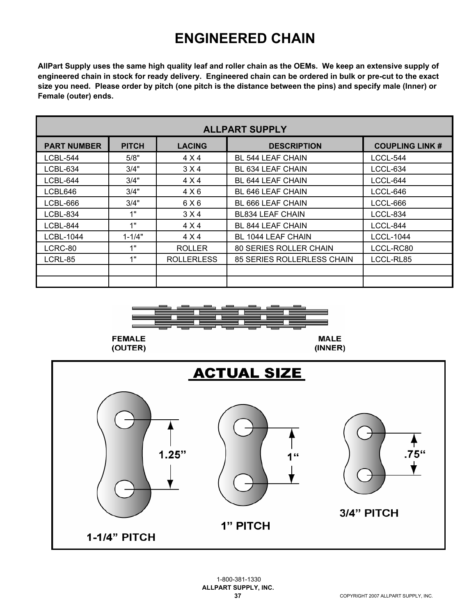## **ENGINEERED CHAIN**

**AllPart Supply uses the same high quality leaf and roller chain as the OEMs. We keep an extensive supply of engineered chain in stock for ready delivery. Engineered chain can be ordered in bulk or pre-cut to the exact size you need. Please order by pitch (one pitch is the distance between the pins) and specify male (Inner) or Female (outer) ends.**

| <b>ALLPART SUPPLY</b> |              |                   |                               |                       |  |  |  |
|-----------------------|--------------|-------------------|-------------------------------|-----------------------|--|--|--|
| <b>PART NUMBER</b>    | <b>PITCH</b> | <b>LACING</b>     | <b>DESCRIPTION</b>            | <b>COUPLING LINK#</b> |  |  |  |
| LCBL-544              | 5/8"         | 4 X 4             | <b>BL 544 LEAF CHAIN</b>      | LCCL-544              |  |  |  |
| LCBL-634              | 3/4"         | 3 X 4             | BL 634 LEAF CHAIN             | LCCL-634              |  |  |  |
| LCBL-644              | 3/4"         | 4 X 4             | BL 644 LEAF CHAIN             | LCCL-644              |  |  |  |
| LCBL646               | 3/4"         | 4 X6              | <b>BL 646 LEAF CHAIN</b>      | LCCL-646              |  |  |  |
| LCBL-666              | 3/4"         | 6 X 6             | BL 666 LEAF CHAIN             | LCCL-666              |  |  |  |
| LCBL-834              | 1"           | 3 X 4             | <b>BL834 LEAF CHAIN</b>       | LCCL-834              |  |  |  |
| LCBL-844              | 1"           | 4 X 4             | BL 844 LEAF CHAIN             | LCCL-844              |  |  |  |
| LCBL-1044             | $1 - 1/4"$   | 4 X 4             | BL 1044 LEAF CHAIN            | <b>LCCL-1044</b>      |  |  |  |
| LCRC-80               | 1"           | <b>ROLLER</b>     | <b>80 SERIES ROLLER CHAIN</b> | LCCL-RC80             |  |  |  |
| LCRL-85               | 1"           | <b>ROLLERLESS</b> | 85 SERIES ROLLERLESS CHAIN    | LCCL-RL85             |  |  |  |
|                       |              |                   |                               |                       |  |  |  |
|                       |              |                   |                               |                       |  |  |  |



(OUTER)



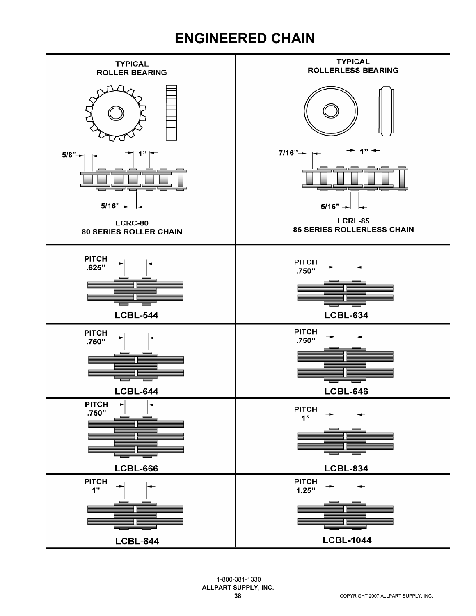## **ENGINEERED CHAIN**